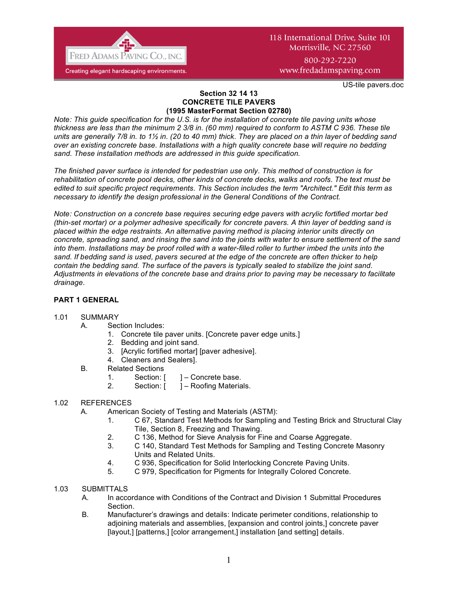

800-292-7220 www.fredadamspaving.com

US-tile pavers.doc

#### **Section 32 14 13 CONCRETE TILE PAVERS (1995 MasterFormat Section 02780)**

*Note: This guide specification for the U.S. is for the installation of concrete tile paving units whose thickness are less than the minimum 2 3/8 in. (60 mm) required to conform to ASTM C 936. These tile units are generally 7/8 in. to 1½ in. (20 to 40 mm) thick. They are placed on a thin layer of bedding sand over an existing concrete base. Installations with a high quality concrete base will require no bedding sand. These installation methods are addressed in this guide specification.*

*The finished paver surface is intended for pedestrian use only. This method of construction is for rehabilitation of concrete pool decks, other kinds of concrete decks, walks and roofs. The text must be edited to suit specific project requirements. This Section includes the term "Architect." Edit this term as necessary to identify the design professional in the General Conditions of the Contract.* 

*Note: Construction on a concrete base requires securing edge pavers with acrylic fortified mortar bed (thin-set mortar) or a polymer adhesive specifically for concrete pavers. A thin layer of bedding sand is placed within the edge restraints. An alternative paving method is placing interior units directly on concrete, spreading sand, and rinsing the sand into the joints with water to ensure settlement of the sand into them. Installations may be proof rolled with a water-filled roller to further imbed the units into the sand. If bedding sand is used, pavers secured at the edge of the concrete are often thicker to help contain the bedding sand. The surface of the pavers is typically sealed to stabilize the joint sand. Adjustments in elevations of the concrete base and drains prior to paving may be necessary to facilitate drainage.*

### **PART 1 GENERAL**

#### 1.01 SUMMARY

- A. Section Includes:
	- 1. Concrete tile paver units. [Concrete paver edge units.]
	- 2. Bedding and joint sand.
	- 3. [Acrylic fortified mortar] [paver adhesive].
	- 4. Cleaners and Sealers].
- B. Related Sections
	- 1. Section: [ ] Concrete base.
	- 2. Section: [ ] Roofing Materials.

#### 1.02 REFERENCES

- A. American Society of Testing and Materials (ASTM):
	- 1. C 67, Standard Test Methods for Sampling and Testing Brick and Structural Clay Tile, Section 8, Freezing and Thawing.
	- 2. C 136, Method for Sieve Analysis for Fine and Coarse Aggregate.
	- 3. C 140, Standard Test Methods for Sampling and Testing Concrete Masonry Units and Related Units.
	- 4. C 936, Specification for Solid Interlocking Concrete Paving Units.
	- 5. C 979, Specification for Pigments for Integrally Colored Concrete.

### 1.03 SUBMITTALS

- A. In accordance with Conditions of the Contract and Division 1 Submittal Procedures Section.
- B. Manufacturer's drawings and details: Indicate perimeter conditions, relationship to adjoining materials and assemblies, [expansion and control joints,] concrete paver [layout,] [patterns,] [color arrangement,] installation [and setting] details.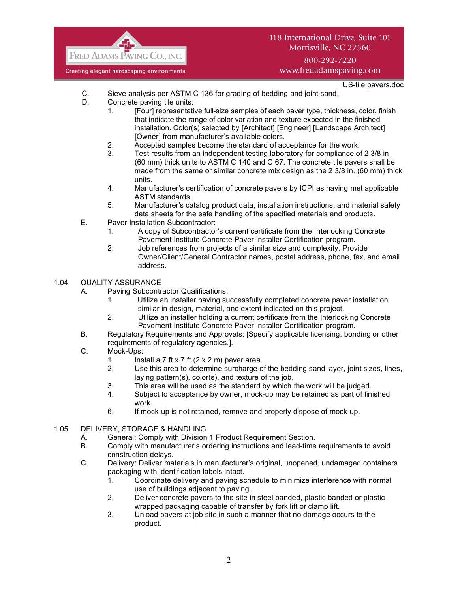

### 800-292-7220 www.fredadamspaving.com

US-tile pavers.doc

- C. Sieve analysis per ASTM C 136 for grading of bedding and joint sand.
- D. Concrete paving tile units:
	- 1. [Four] representative full-size samples of each paver type, thickness, color, finish that indicate the range of color variation and texture expected in the finished installation. Color(s) selected by [Architect] [Engineer] [Landscape Architect] [Owner] from manufacturer's available colors.
	- 2. Accepted samples become the standard of acceptance for the work.
	- 3. Test results from an independent testing laboratory for compliance of 2 3/8 in. (60 mm) thick units to ASTM C 140 and C 67. The concrete tile pavers shall be made from the same or similar concrete mix design as the 2 3/8 in. (60 mm) thick units.
	- 4. Manufacturer's certification of concrete pavers by ICPI as having met applicable ASTM standards.
	- 5. Manufacturer's catalog product data, installation instructions, and material safety data sheets for the safe handling of the specified materials and products.
- E. Paver Installation Subcontractor:
	- 1. A copy of Subcontractor's current certificate from the Interlocking Concrete Pavement Institute Concrete Paver Installer Certification program.
	- 2. Job references from projects of a similar size and complexity. Provide Owner/Client/General Contractor names, postal address, phone, fax, and email address.

### 1.04 QUALITY ASSURANCE

- A. Paving Subcontractor Qualifications:
	- 1. Utilize an installer having successfully completed concrete paver installation similar in design, material, and extent indicated on this project.
	- 2. Utilize an installer holding a current certificate from the Interlocking Concrete Pavement Institute Concrete Paver Installer Certification program.
- B. Regulatory Requirements and Approvals: [Specify applicable licensing, bonding or other requirements of regulatory agencies.].
- C. Mock-Ups:
	- 1. Install a 7 ft x 7 ft  $(2 \times 2 \text{ m})$  paver area.
	- 2. Use this area to determine surcharge of the bedding sand layer, joint sizes, lines, laying pattern(s), color(s), and texture of the job.
	- 3. This area will be used as the standard by which the work will be judged.
	- 4. Subject to acceptance by owner, mock-up may be retained as part of finished work.
	- 6. If mock-up is not retained, remove and properly dispose of mock-up.

### 1.05 DELIVERY, STORAGE & HANDLING

- A. General: Comply with Division 1 Product Requirement Section.<br>B. Comply with manufacturer's ordering instructions and lead-time
- Comply with manufacturer's ordering instructions and lead-time requirements to avoid construction delays.
- C. Delivery: Deliver materials in manufacturer's original, unopened, undamaged containers packaging with identification labels intact.
	- 1. Coordinate delivery and paving schedule to minimize interference with normal use of buildings adjacent to paving.
	- 2. Deliver concrete pavers to the site in steel banded, plastic banded or plastic wrapped packaging capable of transfer by fork lift or clamp lift.
	- 3. Unload pavers at job site in such a manner that no damage occurs to the product.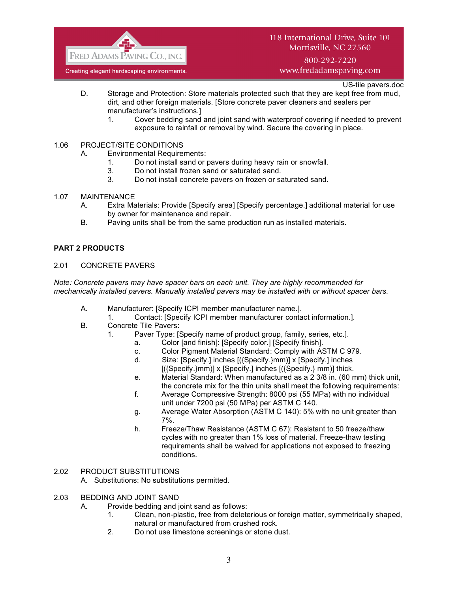

800-292-7220 www.fredadamspaving.com

US-tile pavers.doc

- D. Storage and Protection: Store materials protected such that they are kept free from mud, dirt, and other foreign materials. [Store concrete paver cleaners and sealers per manufacturer's instructions.]
	- 1. Cover bedding sand and joint sand with waterproof covering if needed to prevent exposure to rainfall or removal by wind. Secure the covering in place.
- 1.06 PROJECT/SITE CONDITIONS
	- A. Environmental Requirements:
		- 1. Do not install sand or pavers during heavy rain or snowfall.
		- 3. Do not install frozen sand or saturated sand.
		- 3. Do not install concrete pavers on frozen or saturated sand.
- 1.07 MAINTENANCE
	- A. Extra Materials: Provide [Specify area] [Specify percentage.] additional material for use by owner for maintenance and repair.
	- B. Paving units shall be from the same production run as installed materials.

#### **PART 2 PRODUCTS**

#### 2.01 CONCRETE PAVERS

*Note: Concrete pavers may have spacer bars on each unit. They are highly recommended for mechanically installed pavers. Manually installed pavers may be installed with or without spacer bars.*

- A. Manufacturer: [Specify ICPI member manufacturer name.].
	- 1. Contact: [Specify ICPI member manufacturer contact information.].
- B. Concrete Tile Pavers:
	- 1. Paver Type: [Specify name of product group, family, series, etc.].
		- a. Color [and finish]: [Specify color.] [Specify finish].
		- c. Color Pigment Material Standard: Comply with ASTM C 979.
		- d. Size: [Specify.] inches [({Specify.}mm)] x [Specify.] inches  $[($ {Specify.}mm)] x [Specify.] inches  $[($ {Specify.} mm)] thick.
		- e. Material Standard: When manufactured as a 2 3/8 in. (60 mm) thick unit, the concrete mix for the thin units shall meet the following requirements:
		- f. Average Compressive Strength: 8000 psi (55 MPa) with no individual unit under 7200 psi (50 MPa) per ASTM C 140.
		- g. Average Water Absorption (ASTM C 140): 5% with no unit greater than 7%.
		- h. Freeze/Thaw Resistance (ASTM C 67): Resistant to 50 freeze/thaw cycles with no greater than 1% loss of material. Freeze-thaw testing requirements shall be waived for applications not exposed to freezing conditions.

#### 2.02 PRODUCT SUBSTITUTIONS

- A. Substitutions: No substitutions permitted.
- 2.03 BEDDING AND JOINT SAND
	- A. Provide bedding and joint sand as follows:
		- 1. Clean, non-plastic, free from deleterious or foreign matter, symmetrically shaped, natural or manufactured from crushed rock.
		- 2. Do not use limestone screenings or stone dust.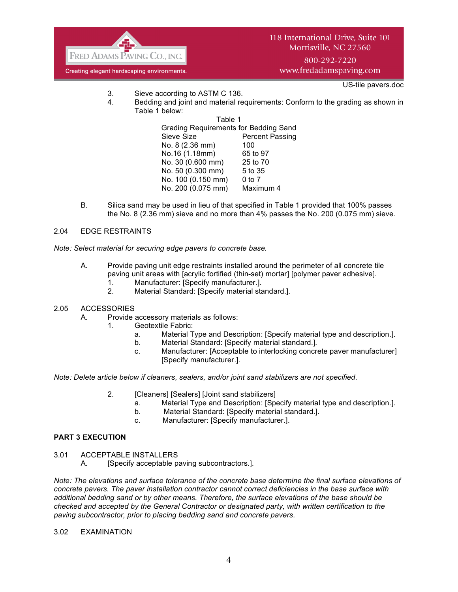

www.fredadamspaving.com

US-tile pavers.doc

- 3. Sieve according to ASTM C 136.
- 4. Bedding and joint and material requirements: Conform to the grading as shown in Table 1 below:

Table 1 Grading Requirements for Bedding Sand Sieve Size **Percent Passing** No. 8 (2.36 mm) 100 No.16 (1.18mm) 65 to 97 No. 30 (0.600 mm) 25 to 70 No. 50 (0.300 mm) 5 to 35 No. 100 (0.150 mm) 0 to 7 No. 200 (0.075 mm) Maximum 4

B. Silica sand may be used in lieu of that specified in Table 1 provided that 100% passes the No. 8 (2.36 mm) sieve and no more than 4% passes the No. 200 (0.075 mm) sieve.

#### 2.04 EDGE RESTRAINTS

*Note: Select material for securing edge pavers to concrete base.*

- A. Provide paving unit edge restraints installed around the perimeter of all concrete tile paving unit areas with [acrylic fortified (thin-set) mortar] [polymer paver adhesive].
	- 1. Manufacturer: [Specify manufacturer.].
	- 2. Material Standard: [Specify material standard.].
- 2.05 ACCESSORIES
	- A. Provide accessory materials as follows:
		- 1. Geotextile Fabric:
			- a. Material Type and Description: [Specify material type and description.].
			- b. Material Standard: [Specify material standard.].
			- c. Manufacturer: [Acceptable to interlocking concrete paver manufacturer] [Specify manufacturer.].

*Note: Delete article below if cleaners, sealers, and/or joint sand stabilizers are not specified.*

- 2. **[Cleaners] [Sealers] [Joint sand stabilizers]** 
	- a. Material Type and Description: [Specify material type and description.].
	- b. Material Standard: [Specify material standard.].
	- c. Manufacturer: [Specify manufacturer.].

# **PART 3 EXECUTION**

- 3.01 ACCEPTABLE INSTALLERS
	- A. [Specify acceptable paving subcontractors.].

*Note: The elevations and surface tolerance of the concrete base determine the final surface elevations of concrete pavers. The paver installation contractor cannot correct deficiencies in the base surface with additional bedding sand or by other means. Therefore, the surface elevations of the base should be checked and accepted by the General Contractor or designated party, with written certification to the paving subcontractor, prior to placing bedding sand and concrete pavers.*

3.02 EXAMINATION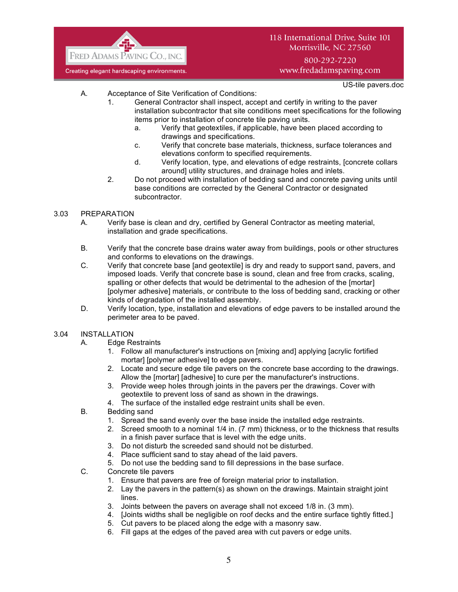

800-292-7220 www.fredadamspaving.com

US-tile pavers.doc

- A. Acceptance of Site Verification of Conditions:
	- 1. General Contractor shall inspect, accept and certify in writing to the paver installation subcontractor that site conditions meet specifications for the following items prior to installation of concrete tile paving units.
		- a. Verify that geotextiles, if applicable, have been placed according to drawings and specifications.
		- c. Verify that concrete base materials, thickness, surface tolerances and elevations conform to specified requirements.
		- d. Verify location, type, and elevations of edge restraints, [concrete collars around] utility structures, and drainage holes and inlets.
	- 2. Do not proceed with installation of bedding sand and concrete paving units until base conditions are corrected by the General Contractor or designated subcontractor.

### 3.03 PREPARATION

- A. Verify base is clean and dry, certified by General Contractor as meeting material, installation and grade specifications.
- B. Verify that the concrete base drains water away from buildings, pools or other structures and conforms to elevations on the drawings.
- C. Verify that concrete base [and geotextile] is dry and ready to support sand, pavers, and imposed loads. Verify that concrete base is sound, clean and free from cracks, scaling, spalling or other defects that would be detrimental to the adhesion of the [mortar] [polymer adhesive] materials, or contribute to the loss of bedding sand, cracking or other kinds of degradation of the installed assembly.
- D. Verify location, type, installation and elevations of edge pavers to be installed around the perimeter area to be paved.

### 3.04 INSTALLATION

- A. Edge Restraints
	- 1. Follow all manufacturer's instructions on [mixing and] applying [acrylic fortified mortar] [polymer adhesive] to edge pavers.
	- 2. Locate and secure edge tile pavers on the concrete base according to the drawings. Allow the [mortar] [adhesive] to cure per the manufacturer's instructions.
	- 3. Provide weep holes through joints in the pavers per the drawings. Cover with geotextile to prevent loss of sand as shown in the drawings.
	- 4. The surface of the installed edge restraint units shall be even.
- B. Bedding sand
	- 1. Spread the sand evenly over the base inside the installed edge restraints.
	- 2. Screed smooth to a nominal 1/4 in. (7 mm) thickness, or to the thickness that results in a finish paver surface that is level with the edge units.
	- 3. Do not disturb the screeded sand should not be disturbed.
	- 4. Place sufficient sand to stay ahead of the laid pavers.
	- 5. Do not use the bedding sand to fill depressions in the base surface.
- C. Concrete tile pavers
	- 1. Ensure that pavers are free of foreign material prior to installation.
	- 2. Lay the pavers in the pattern(s) as shown on the drawings. Maintain straight joint lines.
	- 3. Joints between the pavers on average shall not exceed 1/8 in. (3 mm).
	- 4. [Joints widths shall be negligible on roof decks and the entire surface tightly fitted.]
	- 5. Cut pavers to be placed along the edge with a masonry saw.
	- 6. Fill gaps at the edges of the paved area with cut pavers or edge units.